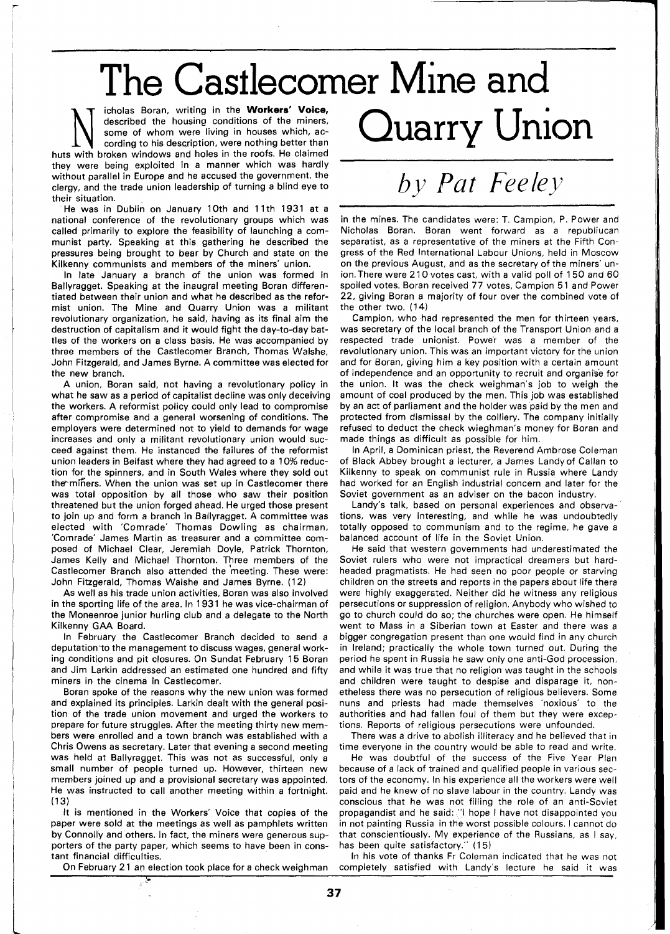The Castlecomer Mine and

Icholas Boran, writing in the **Workers' Voice,**<br>described the housing conditions of the miners,<br>some of whom were living in houses which, ac-<br>cording to his description, were nothing better than<br>with broken windows and hol described the housing conditions of the miners, some of whom were living in houses which, according to his description, were nothing better than huts with broken windows and holes in the roofs. He claimed they were being exploited in a manner which was hardly without parallel in Europe and he accused the government, the clergy, and the trade union leadership of turning a blind eye to their situation.

He was in Dublin on January 10th and 11th 1931 at a national conference of the revolutionary groups which was called primarily to explore the feasibility of launching a communist party. Speaking at this gathering he described the pressures being brought to bear by Church and state on the Kilkenny communists and members of the miners' union.

In late January a branch of the union was formed in Ballyragget. Speaking at the inaugral meeting Boran differentiated between their union and what he described as the reformist union. The Mine and Quarry Union was a militant revolutionary organization, he said, having as its final aim the destruction of capitalism and it would fight the day-to-day battles of the workers on a class basis. He was accompanied by three members of the Castlecomer Branch, Thomas Walshe, John Fitzgerald, and James Byrne. A committee was elected for the new branch.

A union, Boran said, not having a revolutionary policy in what he saw as a period of capitalist decline was only deceiving the workers. A reformist policy could only lead to compromise after compromise and a general worsening of conditions. The employers were determined not to yield to demands for wage increases and only a militant revolutionary union would succeed against them. He instanced the failures of the reformist union leaders in Belfast where they had agreed to a **10%** reduction for the spinners, and in South Wales where they sold out the miners. When the union was set up in Castlecomer there was total opposition by all those who saw their position threatened but the union forged ahead. He urged those present to join up and form a branch in Ballyragget. A committee was elected with 'Comrade' Thomas Dowling as chairman, 'Comrade' James Martin as treasurer and a committee composed of Michael Clear, Jeremiah Doyle, Patrick Thornton, James Kelly and Michael Thornton. Three members of the Castlecomer Branch also attended the meeting. These were: John Fitzgerald, Thomas Walshe and James Byrne. **(12)** 

As well as his trade union activities, Boran was also involved in the sporting life of the area. In **1931** he was vice-chairman of the Moneenroe junior hurling club and a delegate to the North Kilkenny GAA Board.

In February the Castlecomer Branch decided to send a deputation'to the management to discuss wages, general working conditions and pit closures. On Sundat February **15** Boran and Jim Larkin addressed an estimated one hundred and fifty miners in the cinema in Castlecomer.

Boran spoke of the reasons why the new union was formed and explained its principles. Larkin dealt with the general position of the trade union movement and urged the workers to prepare for future struggles. After the meeting thirty new members were enrolled and a town branch was established with a Chris Owens as secretary. Later that evening a second meeting was held at Ballyragget. This was not as successful, only a small number of people turned up. However, thirteen new members joined up and a provisional secretary was appointed. He was instructed to call another meeting within a fortnight. **(13)** 

It is mentioned in the Workers' Voice that copies of the paper were sold at the meetings as well as pamphlets written by Connolly and others. In fact, the miners were generous supporters of the party paper, which seems to have been in constant financial difficulties.

On February **21** an election took place for a check weighman

## *by Pat Feeley*

Quarry Union

in the mines. The candidates were: T. Campion, P. Power and Nicholas Boran. Boran went forward as a republiucan separatist, as a representative of the miners at the Fifth Congress of the Red International Labour Unions, held in Moscow on the previous August, and as the secretary of the miners' union. There were 2 **10** votes cast, with a valid poll of **150** and **60**  spoiled votes. Boran received 77 votes, Campion **5 1** and Power **22,** giving Boran a majority of four over the combined vote of the other two. **(1** 4)

Campion, who had represented the men for thirteen years, was secretary of the local branch of the Transport Union and a respected trade unionist. Power was a member of the revolutionary union. This was an important victory for the union and for Boran, giving him a key position with a certain amount of independence and an opportunity to recruit and organise for the union. It was the check weighman's job to weigh the amount of coal produced by the men. This job was established by an act of parliament and the holder was paid by the men and protected from dismissal by the colliery. The company initially refused to deduct the check wieghman's money for Boran and made things as difficult as possible for him.

In April, a Dominican priest, the Reverend Ambrose Coleman of Black Abbey brought a lecturer, a James Landy of Callan to Kilkenny to speak on communist rule in Russia where Landy had worked for an English industrial concern and later for the Soviet government as an adviser on the bacon industry.

Landy's talk, based on personal experiences and observations, was very interesting, and while he was undoubtedly totally opposed to communism and to the regime, he gave a balanced account of life in the Soviet Union.

He said that western governments had underestimated the Soviet rulers who were not impractical dreamers but hardheaded pragmatists. He had seen no poor people or starving children on the streets and reports in the papers about life there were highly exaggersted. Neither did he witness any religious persecutions or suppression of religion. Anybody who wished to go to church could do so; the churches were open. He himself went to Mass in a Siberian town at Easter and there was a bigger congregation present than one would find in any church in Ireland; practically the whole town turned out. During the period he spent in Russia he saw only one anti-God procession, and while it was true that no religion was taught in the schools and children were taught to despise and disparage it, nonetheless there was no persecution of religious believers. Some nuns and priests had made themselves 'noxious' to the authorities and had fallen foul of them but they were exceptions. Reports of religious persecutions were unfounded.

There was a drive to abolish illiteracy and he believed that in time everyone in the country would be sble to read and write.

He was doubtful of the success of the Five Year Plan because of a lack of trained and qualified people in various sectors of the economy. In his experience all the workers were well paid and he knew of no slave labour in the country. Landy was conscious that he was not filling the role of an anti-soviet propagandist and he said: "I hope I have not disappointed you in not painting Russia in the worst possible colours. I cannot do that conscientiously. My experience of the Russians, as  $I$  say, has been quite satisfactory." (15)

In his vote of thanks Fr Coleman indicated that he was not completely satisfied with Landy's lecture he said it was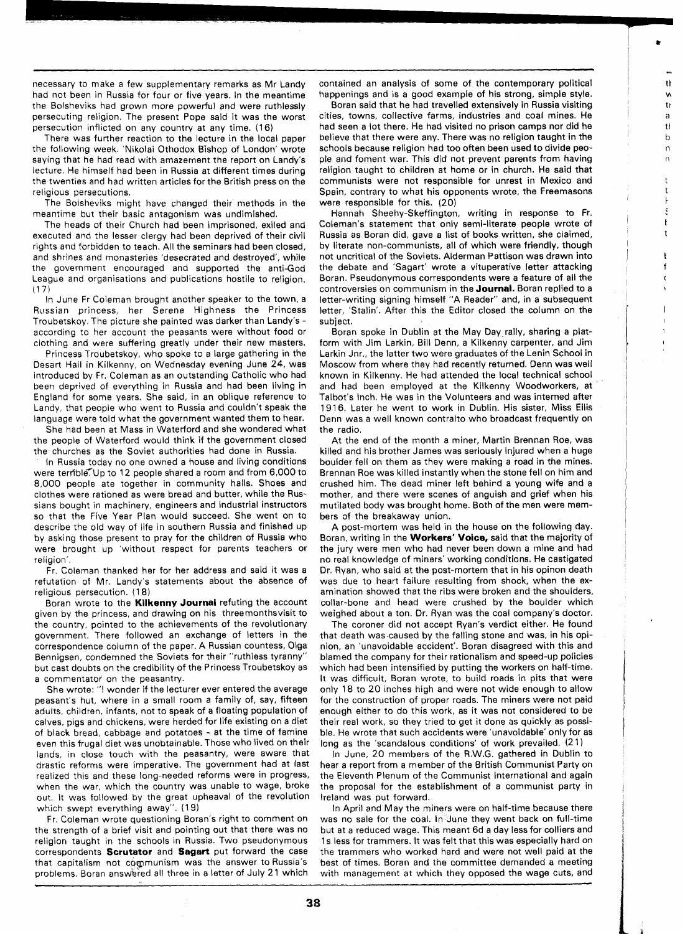necessary to make a few supplementary remarks as Mr Landy had not been in Russia for four or five years. In the meantime the Bolsheviks had grown more powerful and were ruthlessly persecuting religion. The present Pope said it was the worst persecution inflicted on any country at any time. (16)

There was further reaction to the lecture in the local paper the following week. 'Nikolai Othodox Bishop of London' wrote saying that he had read with amazement the report on Landy's lecture. He himself had been in Russia at different times during the twenties and had written articles for the British press on the religious persecutions.

The Bolsheviks might have changed their methods in the meantime but their basic antagonism was undimished,

The heads of their Church had been imprisoned, exiled and executed and the lesser clergy had been deprived of their civil rights and forbidden to teach. All the seminars had been closed, and shrines and monasteries 'desecrated and destroyed', while the government encouraged and supported the antiGod League and organisations and publications hostile to religion.  $(17)$ 

In June Fr Coleman brougnt another speaker to the town, a Russian princess, her Serene Highness the Princess Troubetskoy. The picture she painted was darker than Landy's according to her account the peasants were without food or clothing and were suffering greatly under their new masters.

Princess Troubetskoy, who spoke to a large gathering in the Desart Hall in Kilkenny, on Wednesday evening June 24, was introduced by Fr. Coleman as an outstanding Catholic who had been deprived of everything in Russia and had been living in England for some years. She said, in an oblique reference to Landy, that people who went to Russia and couldn't speak the language were told what the government wanted them to hear.

She had been at Mass in Waterford and she wondered what the people of Waterford would think if the government closed the churches as the Soviet authorities had done in Russia.

In Russia today no one owned a house and living conditions were terrible. Up to 12 people shared a room and from 6,000 to 8,000 people ate together in community halls. Shoes and clothes were rationed as were bread and butter, while the Russians bought in machinery, engineers and industrial instructors so that the Five Year Plan would succeed. She went on to describe the old way of life in southern Russia and finished up by asking those present to pray for the children of Russia who were brought up 'without respect for parents teachers or religion'.

Fr. Coleman thanked her for her address and said it was a refutation of Mr. Landy's statements about the absence of religious persecution. (1 8)

Boran wrote to the **Kilkenny Journal** refuting the account given by the princess, and drawing on his threemonthsvisit to the country, pointed to the achievements of the revolutionary government. There followed an exchange of letters in the correspondence column of the paper. A Russian countess, Olga Bennigsen, condemned the Soviets for their "ruthless tyranny" but cast doubts on the credibility of the Princess Troubetskoy as a commentator on the peasantry.

She wrote: "! wonder if the lecturer ever entered the average peasant's hut, where in a small room a family of, say, fifteen adults, children, infants, not to speak of a floating population of calves, pigs and chickens, were herded for life existing on a diet of black bread, cabbage and potatoes - at the time of famine even this frugal diet was unobtainable. Those who lived on their lands, in close touch with the peasantry, were aware that drastic reforms were imperative. The government had at last realized this and these long-needed reforms were in progress, when the war, which the country was unable to wage, broke out. It was followed by the great upheaval of the revolution which swept everything away". (19)

Fr. Coleman wrote questioning Boran's right to comment on the strength of a brief visit and pointing out that there was no religion taught in the schools in Russia. Two pseudonymous correspondents **Scrutator** and **Sagart** put forward the case that capitalism not copmunism was the answer to Russia's problems. Boran answered all three in a letter of July 21 which

contained an analysis of some of the contemporary political happenings and is a good example of his strong, simple style.

 $\ddot{\mathrm{t}}$  $\mathbf{v}$ tr  $\mathbf{a}$  $t$  $\mathbf b$  $\overline{a}$  $\mathsf{n}$  $\mathsf{t}$  $\mathsf{t}$ Ł ś ŀ  $\mathsf t$  $\mathbf{r}$ f  $\mathbf{r}$ 

 $\mathbf{I}$ 

Boran said that he had travelled extensively in Russia visiting cities, towns, collective farms, industries and coal mines. He had seen a lot there. He had visited no prison camps nor did he believe that there were any. There was no religion taught in the schools because religion had too often been used to divide people and foment war. This did not prevent parents from having religion taught to children at home or in church. He said that communists were not responsible for unrest in Mexico and Spain, contrary to what his opponents wrote, the Freemasons were responsible for this. (20)

Hannah Sheehy-Skeffington, writing in response to Fr. Coleman's statement that only semi-literate people wrote of Russia as Boran did, gave a list of books written, she claimed, by literate non-communists, all of which were friendly, though not uncritical of the Soviets. Alderman Pattison was drawn into the debate and 'Sagart' wrote a vituperative letter attacking Boran. Pseudonymous correspondents were a feature of all the controversies on communism in the **Journal.** Boran replied to a letter-writing signing himself "A Reader" and, in a subsequent letter, 'Stalin'. After this the Editor closed the column on the subject.

Boran spoke in Dublin at the May Day rally, sharing a platform with Jim Larkin, Bill Denn, a Kilkenny carpenter, and Jim Larkin Jnr., the latter two were graduates of the Lenin School in Moscow from where they had recently returned. Denn was well known in Kilkenny. He had attended the local technical school and had been employed at the Kilkenny Woodworkers, at Talbot's Inch. He was in the Volunteers and was interned after 1916. Later he went to work in Dublin. His sister, Miss Eilis Denn was a well known contralto who broadcast frequently on the radio.

At the end of the month a miner, Martin Brennan Roe, was killed and his brother James was seriously injured when a huge boulder fell on them as they were making a road in the mines. Brennan Roe was killed instantly when the stone fell on him and crushed him. The dead miner left behird a young wife and a mother, and there were scenes of anguish and grief when his mutilated body was brought home. Both of the men were members of the breakaway union.

A post-mortem was held in the house on the following day. Boran, writing in the **Workers' Voice,** said that the majority of the jury were men who had never been down a mine and had no real knowledge of miners' working conditions. He castigated Dr. Ryan, who said at the post-mortem that in his opinon death was due to heart failure resulting from shock, when the examination showed that the ribs were broken and the shoulders, collar-bone and head were crushed by the boulder which weighed about a ton. Dr. Ryan was the coal company's doctor.

The coroner did not accept Ryan's verdict either. He found that death was caused by the falling stone and was, in his opinion, an 'unavoidable accident'. Boran disagreed with this and blamed the company for their rationalism and speed-up policies which had been intensified by putting the workers on half-time. It was difficult, Boran wrote, to build roads in pits that were only 18 to 20 inches high and were not wide enough to allow for the construction of proper roads. The miners were not paid enough either to do this work, as it was not considered to be their real work, so they tried to get it done as quickly as possible. He wrote that such accidents were 'unavoidable' only for as long as the 'scandalous conditions' of work prevailed. (21)

In June, 20 members of the R.W.G. gathered in Dublin to hear a report from a member of the British Communist Party on the Eleventh Plenum of the Communist International and again the proposal for the establishment of a communist party in Ireland was put forward.

In April and May the miners were on half-time because there was no sale for the coal. In June they went back on full-time but at a reduced wage. This meant 6d a day less for colliers and 1s less for trammers. It was felt that this was especially hard on the trammers who worked hard and were not well paid at the best of times. Boran and the committee demanded a meeting with management at which they opposed the wage cuts, and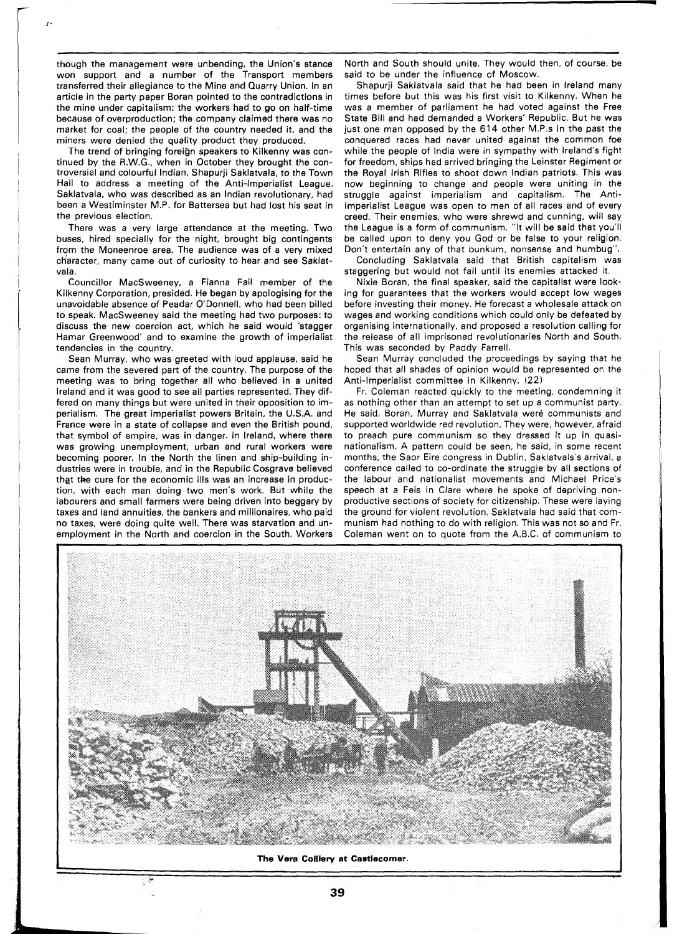though the management were unbending, the Union's stance won support and a number of the Transport members transferred their allegiance to the Mine and Quarry Union. In an article in the party paper Boran pointed to the contradictions in the mine under capitalism: the workers had to go on half-time because of overproduction; the company claimed there was no market for coal; the people of the country needed it, and the miners were denied the quality product they produced.

The trend of bringing foreign speakers to Kilkenny was continued by the R.W.G., when in October they brought the controversial and colourful Indian, Shapurji Saklatvala, to the Town Hall to address a meeting of the Anti-Imperialist League. Saklatvala, who was described as an Indian revolutionary, had been a Westiminster M.P. for Battersea but had lost his seat in the previous election.

There was a very large attendance at the meeting. Two buses, hired specially for the night, brought big contingents from the Moneenroe area. The audience was of a very mixed character, many came out of curiosity to hear and see Saklatvala.

Councillor MacSweeney, a Fianna Fail member of the Kilkenny Corporation, presided. He began by apologising for the unavoidable absence of Peadar O'Donnell, who had been billed to speak. MacSweeney said the meeting had two purposes: to discuss the new coercion act, which he said would 'stagger Hamar Greenwood' and to examine the growth of imperialist tendencies in the country.

Sean Murray, who was greeted with loud applause, said he came from the severed part of the country. The purpose of the meeting was to bring together all who believed in a united Ireland and it was good to see all parties represented. They differed on many things but were united in their opposition to imperialism. The great imperialist powers Britain, the U.S.A. and France were in a state of collapse and even the British pound, that symbol of empire, was in danger. In Ireland, where there was growing unemployment, urban and rural workers were becoming poorer. In the North the linen and ship-building industries were in trouble, and in the Republic Cosgrave believed that the cure for the economic ills was an increase in production, with each man doing two men's work. But while the labourers and small farmers were being driven into beggary by taxes and land annuities, the bankers and millionaires, who paid no taxes, were doing quite well. There was starvation and unemployment in the North and coercion in the South. Workers North and South should unite. They would then, of course, be said to be under the influence of Moscow.

Shapurji Saklatvala said that he had been in Ireland many times before but this was his first visit to Kilkenny. When he was a member of parliament he had voted against the Free State Bill and had demanded a Workers' Republic. But he was just one man opposed by the 614 other M.P.s In the past the conquered races had never united against the common foe while the people of India were in sympathy with Ireland's fight for freedom, ships had arrived bringing the Leinster Regiment or the Royal Irish Rifles to shoot down Indian patriots. This was now beginning to change and people were uniting in the struggle against imperialism and capitalism. The Anti-Imperialist League was open to men of all races and of every creed. Their enemies, who were shrewd and cunning, will say the League is a form of communism. "It will be said that you'll be called upon to deny you God or be false to your religion. Don't entertain any of that bunkum, nonsense and humbug".

Concluding Saklatvala said that British capitalism was staggering but would not fall until its enemies attacked it.

Nixie Boran, the final speaker, said the capitalist were looking for guarantees that the workers would accept low wages before investing their money. He forecast a wholesale attack on wages and working conditions which could only be defeated by organising internationally, and proposed a resolution calling for the release of all imprisoned revolutionaries North and South. This was seconded by Paddy Farrell.

Sean Murray concluded the proceedings by saying that he hoped that all shades of opinion would be represented on the Anti-Imperialist committee in Kilkenny. **(22)** 

Fr. Coleman reacted quickly to the meeting, condemning it as nothing other than an attempt to set up a communist party. He said, Boran, Murray and Saklatvala were communists and supported worldwide red revolution. They were, however, afraid to preach pure communism so they dressed it up in quasinationalism. A pattern could be seen, he said, in some recent months, the Saor Eire congress in Dublin, Saklatvals's arrival, a conference called to co-ordinate the struggle by all sections of the labour and nationalist movements and Michael Price's speech at a Feis in Clare where he spoke of depriving nonproductive sections of society for citizenship. These were laying the ground for violent revolution. Saklatvala had said that communism had nothing to do with religion. This was not so and Fr. Coleman went on to quote from the A.B.C. of communism to



**The Vera Colliery at Castlecorner.**